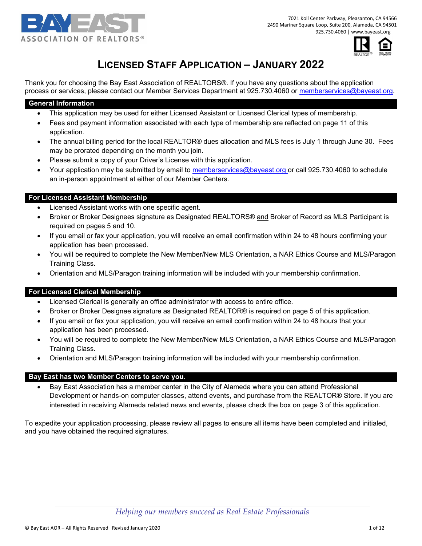

7021 Koll Center Parkway, Pleasanton, CA 94566 2490 Mariner Square Loop, Suite 200, Alameda, CA 94501 925.730.4060 | www.bayeast.org



# **LICENSED STAFF APPLICATION – JANUARY 2022**

Thank you for choosing the Bay East Association of REALTORS®. If you have any questions about the application process or services, please contact our Member Services Department at 925.730.4060 or memberservices@bayeast.org.

#### **General Information**

- This application may be used for either Licensed Assistant or Licensed Clerical types of membership.
- Fees and payment information associated with each type of membership are reflected on page 11 of this application.
- The annual billing period for the local REALTOR® dues allocation and MLS fees is July 1 through June 30. Fees may be prorated depending on the month you join.
- Please submit a copy of your Driver's License with this application.
- Your application may be submitted by email to memberservices@bayeast.org or call 925.730.4060 to schedule an in-person appointment at either of our Member Centers.

#### **For Licensed Assistant Membership**

- Licensed Assistant works with one specific agent.
- Broker or Broker Designees signature as Designated REALTORS® and Broker of Record as MLS Participant is required on pages 5 and 10.
- If you email or fax your application, you will receive an email confirmation within 24 to 48 hours confirming your application has been processed.
- You will be required to complete the New Member/New MLS Orientation, a NAR Ethics Course and MLS/Paragon Training Class.
- Orientation and MLS/Paragon training information will be included with your membership confirmation.

### **For Licensed Clerical Membership**

- Licensed Clerical is generally an office administrator with access to entire office.
- Broker or Broker Designee signature as Designated REALTOR® is required on page 5 of this application.
- If you email or fax your application, you will receive an email confirmation within 24 to 48 hours that your application has been processed.
- You will be required to complete the New Member/New MLS Orientation, a NAR Ethics Course and MLS/Paragon Training Class.
- Orientation and MLS/Paragon training information will be included with your membership confirmation.

#### **Bay East has two Member Centers to serve you.**

 Bay East Association has a member center in the City of Alameda where you can attend Professional Development or hands-on computer classes, attend events, and purchase from the REALTOR® Store. If you are interested in receiving Alameda related news and events, please check the box on page 3 of this application.

To expedite your application processing, please review all pages to ensure all items have been completed and initialed, and you have obtained the required signatures.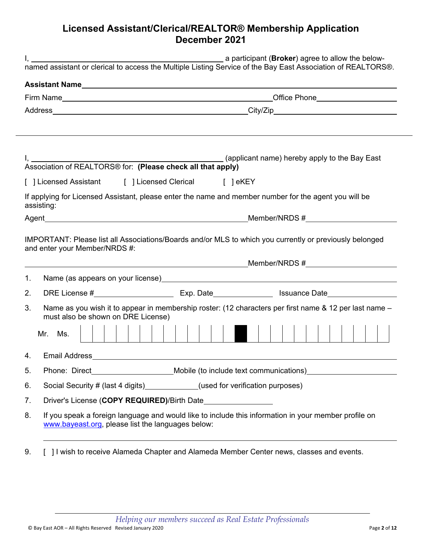## **Licensed Assistant/Clerical/REALTOR® Membership Application December 2021**

|                                        | a participant (Broker) agree to allow the below-                                                                                             |  |  |
|----------------------------------------|----------------------------------------------------------------------------------------------------------------------------------------------|--|--|
|                                        |                                                                                                                                              |  |  |
|                                        |                                                                                                                                              |  |  |
|                                        |                                                                                                                                              |  |  |
|                                        |                                                                                                                                              |  |  |
|                                        |                                                                                                                                              |  |  |
|                                        |                                                                                                                                              |  |  |
|                                        | [ ] Licensed Assistant [ ] Licensed Clerical [ ] eKEY                                                                                        |  |  |
|                                        | If applying for Licensed Assistant, please enter the name and member number for the agent you will be<br>assisting:                          |  |  |
|                                        |                                                                                                                                              |  |  |
|                                        | and enter your Member/NRDS #:                                                                                                                |  |  |
|                                        |                                                                                                                                              |  |  |
|                                        | Name (as appears on your license)<br>Mame (as appears on your license)                                                                       |  |  |
|                                        | Name as you wish it to appear in membership roster: (12 characters per first name & 12 per last name -<br>must also be shown on DRE License) |  |  |
|                                        | Mr. Ms.                                                                                                                                      |  |  |
|                                        |                                                                                                                                              |  |  |
|                                        | Phone: Direct_________________________Mobile (to include text communications)_______________________                                         |  |  |
|                                        | Social Security # (last 4 digits) ___________(used for verification purposes)                                                                |  |  |
| 1.<br>2.<br>3.<br>4.<br>5.<br>6.<br>7. | Driver's License (COPY REQUIRED)/Birth Date___________________                                                                               |  |  |

9. [ ] I wish to receive Alameda Chapter and Alameda Member Center news, classes and events.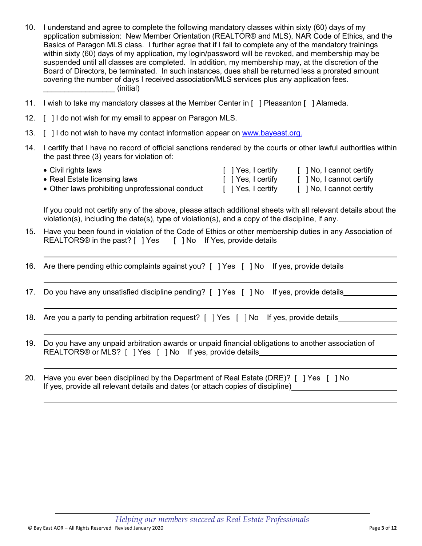- 10. I understand and agree to complete the following mandatory classes within sixty (60) days of my application submission: New Member Orientation (REALTOR® and MLS), NAR Code of Ethics, and the Basics of Paragon MLS class. I further agree that if I fail to complete any of the mandatory trainings within sixty (60) days of my application, my login/password will be revoked, and membership may be suspended until all classes are completed. In addition, my membership may, at the discretion of the Board of Directors, be terminated. In such instances, dues shall be returned less a prorated amount covering the number of days I received association/MLS services plus any application fees. (initial)
- 11. I wish to take my mandatory classes at the Member Center in [ ] Pleasanton [ ] Alameda.
- 12. [ ] I do not wish for my email to appear on Paragon MLS.

 $\overline{\phantom{a}}$ 

- 13. [ ] I do not wish to have my contact information appear on www.bayeast.org.
- 14. I certify that I have no record of official sanctions rendered by the courts or other lawful authorities within the past three (3) years for violation of:

| $\bullet$ Civil rights laws                     | [ ] Yes, I certify | [ ] No, I cannot certify |
|-------------------------------------------------|--------------------|--------------------------|
| • Real Estate licensing laws                    | [ ] Yes, I certify | [ ] No, I cannot certify |
| • Other laws prohibiting unprofessional conduct | [ ] Yes, I certify | [ ] No, I cannot certify |

If you could not certify any of the above, please attach additional sheets with all relevant details about the violation(s), including the date(s), type of violation(s), and a copy of the discipline, if any.

15. Have you been found in violation of the Code of Ethics or other membership duties in any Association of REALTORS® in the past? [ ] Yes [ ] No If Yes, provide details

16. Are there pending ethic complaints against you? [ ] Yes [ ] No If yes, provide details

- 17. Do you have any unsatisfied discipline pending? [ ] Yes [ ] No If yes, provide details
- 18. Are you a party to pending arbitration request? [ ] Yes [ ] No If yes, provide details
- 19. Do you have any unpaid arbitration awards or unpaid financial obligations to another association of REALTORS® or MLS? [ ] Yes [ ] No If yes, provide details\_\_\_\_\_\_\_\_\_\_\_\_\_\_\_\_\_\_\_\_\_\_\_\_
- 20. Have you ever been disciplined by the Department of Real Estate (DRE)? [ ] Yes [ ] No If yes, provide all relevant details and dates (or attach copies of discipline)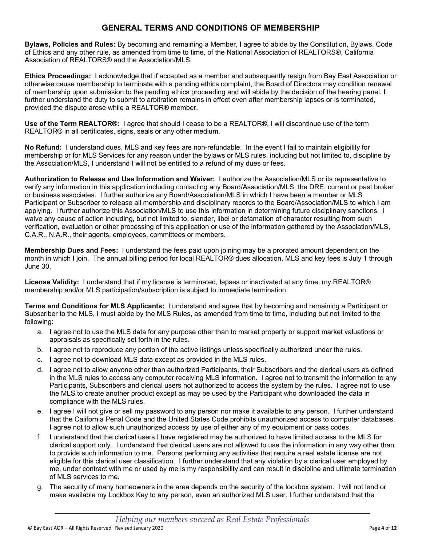## **GENERAL TERMS AND CONDITIONS OF MEMBERSHIP**

**Bylaws, Policies and Rules:** By becoming and remaining a Member, I agree to abide by the Constitution, Bylaws, Code of Ethics and any other rule, as amended from time to time, of the National Association of REALTORS®, California Association of REALTORS® and the Association/MLS.

**Ethics Proceedings:** I acknowledge that if accepted as a member and subsequently resign from Bay East Association or otherwise cause membership to terminate with a pending ethics complaint, the Board of Directors may condition renewal of membership upon submission to the pending ethics proceeding and will abide by the decision of the hearing panel. I further understand the duty to submit to arbitration remains in effect even after membership lapses or is terminated, provided the dispute arose while a REALTOR® member.

**Use of the Term REALTOR®:** I agree that should I cease to be a REALTOR®, I will discontinue use of the term REALTOR® in all certificates, signs, seals or any other medium.

**No Refund:** I understand dues, MLS and key fees are non-refundable. In the event I fail to maintain eligibility for membership or for MLS Services for any reason under the bylaws or MLS rules, including but not limited to, discipline by the Association/MLS, I understand I will not be entitled to a refund of my dues or fees.

**Authorization to Release and Use Information and Waiver:** I authorize the Association/MLS or its representative to verify any information in this application including contacting any Board/Association/MLS, the DRE, current or past broker or business associates. I further authorize any Board/Association/MLS in which I have been a member or MLS Participant or Subscriber to release all membership and disciplinary records to the Board/Association/MLS to which I am applying. I further authorize this Association/MLS to use this information in determining future disciplinary sanctions. I waive any cause of action including, but not limited to, slander, libel or defamation of character resulting from such verification, evaluation or other processing of this application or use of the information gathered by the Association/MLS, C.A.R., N.A.R., their agents, employees, committees or members.

**Membership Dues and Fees:** I understand the fees paid upon joining may be a prorated amount dependent on the month in which I join. The annual billing period for local REALTOR® dues allocation, MLS and key fees is July 1 through June 30.

**License Validity:** I understand that if my license is terminated, lapses or inactivated at any time, my REALTOR® membership and/or MLS participation/subscription is subject to immediate termination.

**Terms and Conditions for MLS Applicants:** I understand and agree that by becoming and remaining a Participant or Subscriber to the MLS, I must abide by the MLS Rules, as amended from time to time, including but not limited to the following:

- a. I agree not to use the MLS data for any purpose other than to market property or support market valuations or appraisals as specifically set forth in the rules.
- b. I agree not to reproduce any portion of the active listings unless specifically authorized under the rules.
- c. I agree not to download MLS data except as provided in the MLS rules.
- d. I agree not to allow anyone other than authorized Participants, their Subscribers and the clerical users as defined in the MLS rules to access any computer receiving MLS information. I agree not to transmit the information to any Participants, Subscribers and clerical users not authorized to access the system by the rules. I agree not to use the MLS to create another product except as may be used by the Participant who downloaded the data in compliance with the MLS rules.
- e. I agree I will not give or sell my password to any person nor make it available to any person. I further understand that the California Penal Code and the United States Code prohibits unauthorized access to computer databases. I agree not to allow such unauthorized access by use of either any of my equipment or pass codes.
- f. I understand that the clerical users I have registered may be authorized to have limited access to the MLS for clerical support only. I understand that clerical users are not allowed to use the information in any way other than to provide such information to me. Persons performing any activities that require a real estate license are not eligible for this clerical user classification. I further understand that any violation by a clerical user employed by me, under contract with me or used by me is my responsibility and can result in discipline and ultimate termination of MLS services to me.
- g. The security of many homeowners in the area depends on the security of the lockbox system. I will not lend or make available my Lockbox Key to any person, even an authorized MLS user. I further understand that the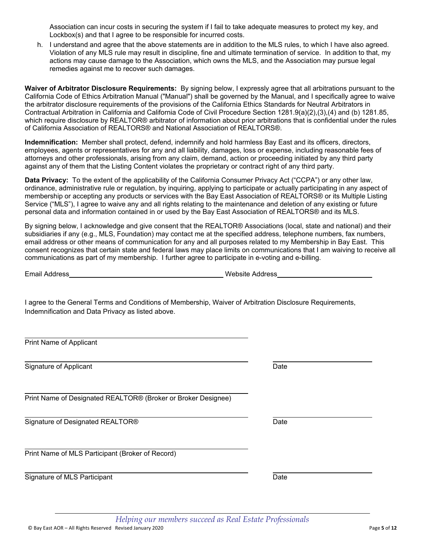Signature of MLS Participant **Date Date** Date **Date** Date **Date** 

Association can incur costs in securing the system if I fail to take adequate measures to protect my key, and Lockbox(s) and that I agree to be responsible for incurred costs.

h. I understand and agree that the above statements are in addition to the MLS rules, to which I have also agreed. Violation of any MLS rule may result in discipline, fine and ultimate termination of service. In addition to that, my actions may cause damage to the Association, which owns the MLS, and the Association may pursue legal remedies against me to recover such damages.

**Waiver of Arbitrator Disclosure Requirements:** By signing below, I expressly agree that all arbitrations pursuant to the California Code of Ethics Arbitration Manual ("Manual") shall be governed by the Manual, and I specifically agree to waive the arbitrator disclosure requirements of the provisions of the California Ethics Standards for Neutral Arbitrators in Contractual Arbitration in California and California Code of Civil Procedure Section 1281.9(a)(2),(3),(4) and (b) 1281.85, which require disclosure by REALTOR® arbitrator of information about prior arbitrations that is confidential under the rules of California Association of REALTORS® and National Association of REALTORS®.

**Indemnification:** Member shall protect, defend, indemnify and hold harmless Bay East and its officers, directors, employees, agents or representatives for any and all liability, damages, loss or expense, including reasonable fees of attorneys and other professionals, arising from any claim, demand, action or proceeding initiated by any third party against any of them that the Listing Content violates the proprietary or contract right of any third party.

**Data Privacy:** To the extent of the applicability of the California Consumer Privacy Act ("CCPA") or any other law, ordinance, administrative rule or regulation, by inquiring, applying to participate or actually participating in any aspect of membership or accepting any products or services with the Bay East Association of REALTORS® or its Multiple Listing Service ("MLS"), I agree to waive any and all rights relating to the maintenance and deletion of any existing or future personal data and information contained in or used by the Bay East Association of REALTORS® and its MLS.

By signing below, I acknowledge and give consent that the REALTOR® Associations (local, state and national) and their subsidiaries if any (e.g., MLS, Foundation) may contact me at the specified address, telephone numbers, fax numbers, email address or other means of communication for any and all purposes related to my Membership in Bay East. This consent recognizes that certain state and federal laws may place limits on communications that I am waiving to receive all communications as part of my membership. I further agree to participate in e-voting and e-billing.

Email Address Website Address

I agree to the General Terms and Conditions of Membership, Waiver of Arbitration Disclosure Requirements, Indemnification and Data Privacy as listed above.

 Print Name of Applicant

 Signature of Applicant Date of Applicant Date of Applicant Date of Applicant Date of Applicant Date of Applicant Date of Applicant Date of Applicant Date of Applicant Date of Applicant Date of Applicant Date of Applicant D

Print Name of Designated REALTOR® (Broker or Broker Designee)

Signature of Designated REALTOR® Date by a state of Date by Date by Date by Date by Date by Date by Date by Date by Date by Date by Date by Date by Date by Date by Date by Date by Date by Date by Date by Date by Date by Da

Print Name of MLS Participant (Broker of Record)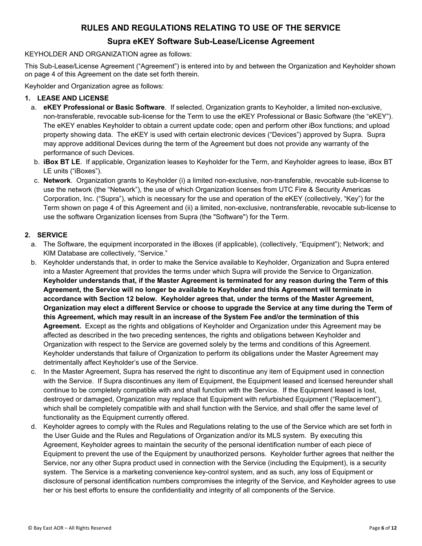## **RULES AND REGULATIONS RELATING TO USE OF THE SERVICE**

### **Supra eKEY Software Sub-Lease/License Agreement**

#### KEYHOLDER AND ORGANIZATION agree as follows:

This Sub-Lease/License Agreement ("Agreement") is entered into by and between the Organization and Keyholder shown on page 4 of this Agreement on the date set forth therein.

Keyholder and Organization agree as follows:

#### **1. LEASE AND LICENSE**

- a. **eKEY Professional or Basic Software**.If selected, Organization grants to Keyholder, a limited non-exclusive, non-transferable, revocable sub-license for the Term to use the eKEY Professional or Basic Software (the "eKEY"). The eKEY enables Keyholder to obtain a current update code; open and perform other iBox functions; and upload property showing data. The eKEY is used with certain electronic devices ("Devices") approved by Supra. Supra may approve additional Devices during the term of the Agreement but does not provide any warranty of the performance of such Devices.
- b. **iBox BT LE**. If applicable, Organization leases to Keyholder for the Term, and Keyholder agrees to lease, iBox BT LE units ("iBoxes").
- c. **Network**. Organization grants to Keyholder (i) a limited non-exclusive, non-transferable, revocable sub-license to use the network (the "Network"), the use of which Organization licenses from UTC Fire & Security Americas Corporation, Inc. ("Supra"), which is necessary for the use and operation of the eKEY (collectively, "Key") for the Term shown on page 4 of this Agreement and (ii) a limited, non-exclusive, nontransferable, revocable sub-license to use the software Organization licenses from Supra (the "Software") for the Term.

#### **2. SERVICE**

- a. The Software, the equipment incorporated in the iBoxes (if applicable), (collectively, "Equipment"); Network; and KIM Database are collectively, "Service."
- b. Keyholder understands that, in order to make the Service available to Keyholder, Organization and Supra entered into a Master Agreement that provides the terms under which Supra will provide the Service to Organization. **Keyholder understands that, if the Master Agreement is terminated for any reason during the Term of this Agreement, the Service will no longer be available to Keyholder and this Agreement will terminate in accordance with Section 12 below. Keyholder agrees that, under the terms of the Master Agreement, Organization may elect a different Service or choose to upgrade the Service at any time during the Term of this Agreement, which may result in an increase of the System Fee and/or the termination of this Agreement.** Except as the rights and obligations of Keyholder and Organization under this Agreement may be affected as described in the two preceding sentences, the rights and obligations between Keyholder and Organization with respect to the Service are governed solely by the terms and conditions of this Agreement. Keyholder understands that failure of Organization to perform its obligations under the Master Agreement may detrimentally affect Keyholder's use of the Service.
- c. In the Master Agreement, Supra has reserved the right to discontinue any item of Equipment used in connection with the Service. If Supra discontinues any item of Equipment, the Equipment leased and licensed hereunder shall continue to be completely compatible with and shall function with the Service. If the Equipment leased is lost, destroyed or damaged, Organization may replace that Equipment with refurbished Equipment ("Replacement"), which shall be completely compatible with and shall function with the Service, and shall offer the same level of functionality as the Equipment currently offered.
- d. Keyholder agrees to comply with the Rules and Regulations relating to the use of the Service which are set forth in the User Guide and the Rules and Regulations of Organization and/or its MLS system. By executing this Agreement, Keyholder agrees to maintain the security of the personal identification number of each piece of Equipment to prevent the use of the Equipment by unauthorized persons. Keyholder further agrees that neither the Service, nor any other Supra product used in connection with the Service (including the Equipment), is a security system. The Service is a marketing convenience key-control system, and as such, any loss of Equipment or disclosure of personal identification numbers compromises the integrity of the Service, and Keyholder agrees to use her or his best efforts to ensure the confidentiality and integrity of all components of the Service.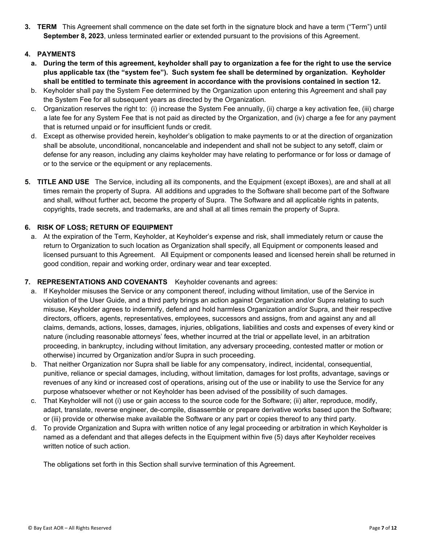**3. TERM** This Agreement shall commence on the date set forth in the signature block and have a term ("Term") until **September 8, 2023**, unless terminated earlier or extended pursuant to the provisions of this Agreement.

#### **4. PAYMENTS**

- **a. During the term of this agreement, keyholder shall pay to organization a fee for the right to use the service plus applicable tax (the "system fee"). Such system fee shall be determined by organization. Keyholder shall be entitled to terminate this agreement in accordance with the provisions contained in section 12.**
- b. Keyholder shall pay the System Fee determined by the Organization upon entering this Agreement and shall pay the System Fee for all subsequent years as directed by the Organization.
- c. Organization reserves the right to: (i) increase the System Fee annually, (ii) charge a key activation fee, (iii) charge a late fee for any System Fee that is not paid as directed by the Organization, and (iv) charge a fee for any payment that is returned unpaid or for insufficient funds or credit.
- d. Except as otherwise provided herein, keyholder's obligation to make payments to or at the direction of organization shall be absolute, unconditional, noncancelable and independent and shall not be subject to any setoff, claim or defense for any reason, including any claims keyholder may have relating to performance or for loss or damage of or to the service or the equipment or any replacements.
- **5. TITLE AND USE** The Service, including all its components, and the Equipment (except iBoxes), are and shall at all times remain the property of Supra. All additions and upgrades to the Software shall become part of the Software and shall, without further act, become the property of Supra. The Software and all applicable rights in patents, copyrights, trade secrets, and trademarks, are and shall at all times remain the property of Supra.

#### **6. RISK OF LOSS; RETURN OF EQUIPMENT**

a. At the expiration of the Term, Keyholder, at Keyholder's expense and risk, shall immediately return or cause the return to Organization to such location as Organization shall specify, all Equipment or components leased and licensed pursuant to this Agreement. All Equipment or components leased and licensed herein shall be returned in good condition, repair and working order, ordinary wear and tear excepted.

#### **7. REPRESENTATIONS AND COVENANTS** Keyholder covenants and agrees:

- a. If Keyholder misuses the Service or any component thereof, including without limitation, use of the Service in violation of the User Guide, and a third party brings an action against Organization and/or Supra relating to such misuse, Keyholder agrees to indemnify, defend and hold harmless Organization and/or Supra, and their respective directors, officers, agents, representatives, employees, successors and assigns, from and against any and all claims, demands, actions, losses, damages, injuries, obligations, liabilities and costs and expenses of every kind or nature (including reasonable attorneys' fees, whether incurred at the trial or appellate level, in an arbitration proceeding, in bankruptcy, including without limitation, any adversary proceeding, contested matter or motion or otherwise) incurred by Organization and/or Supra in such proceeding.
- b. That neither Organization nor Supra shall be liable for any compensatory, indirect, incidental, consequential, punitive, reliance or special damages, including, without limitation, damages for lost profits, advantage, savings or revenues of any kind or increased cost of operations, arising out of the use or inability to use the Service for any purpose whatsoever whether or not Keyholder has been advised of the possibility of such damages.
- c. That Keyholder will not (i) use or gain access to the source code for the Software; (ii) alter, reproduce, modify, adapt, translate, reverse engineer, de-compile, disassemble or prepare derivative works based upon the Software; or (iii) provide or otherwise make available the Software or any part or copies thereof to any third party.
- d. To provide Organization and Supra with written notice of any legal proceeding or arbitration in which Keyholder is named as a defendant and that alleges defects in the Equipment within five (5) days after Keyholder receives written notice of such action.

The obligations set forth in this Section shall survive termination of this Agreement.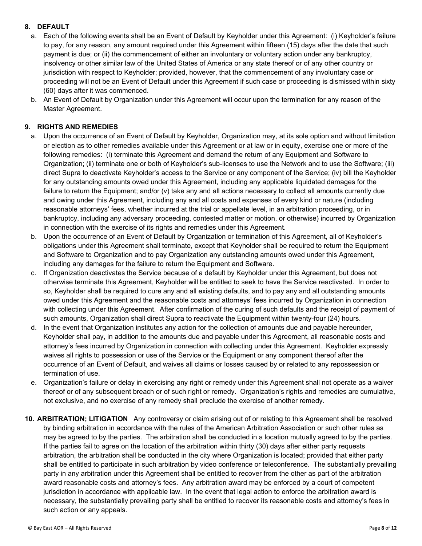#### **8. DEFAULT**

- a. Each of the following events shall be an Event of Default by Keyholder under this Agreement: (i) Keyholder's failure to pay, for any reason, any amount required under this Agreement within fifteen (15) days after the date that such payment is due; or (ii) the commencement of either an involuntary or voluntary action under any bankruptcy, insolvency or other similar law of the United States of America or any state thereof or of any other country or jurisdiction with respect to Keyholder; provided, however, that the commencement of any involuntary case or proceeding will not be an Event of Default under this Agreement if such case or proceeding is dismissed within sixty (60) days after it was commenced.
- b. An Event of Default by Organization under this Agreement will occur upon the termination for any reason of the Master Agreement.

#### **9. RIGHTS AND REMEDIES**

- a. Upon the occurrence of an Event of Default by Keyholder, Organization may, at its sole option and without limitation or election as to other remedies available under this Agreement or at law or in equity, exercise one or more of the following remedies: (i) terminate this Agreement and demand the return of any Equipment and Software to Organization; (ii) terminate one or both of Keyholder's sub-licenses to use the Network and to use the Software; (iii) direct Supra to deactivate Keyholder's access to the Service or any component of the Service; (iv) bill the Keyholder for any outstanding amounts owed under this Agreement, including any applicable liquidated damages for the failure to return the Equipment; and/or (v) take any and all actions necessary to collect all amounts currently due and owing under this Agreement, including any and all costs and expenses of every kind or nature (including reasonable attorneys' fees, whether incurred at the trial or appellate level, in an arbitration proceeding, or in bankruptcy, including any adversary proceeding, contested matter or motion, or otherwise) incurred by Organization in connection with the exercise of its rights and remedies under this Agreement.
- b. Upon the occurrence of an Event of Default by Organization or termination of this Agreement, all of Keyholder's obligations under this Agreement shall terminate, except that Keyholder shall be required to return the Equipment and Software to Organization and to pay Organization any outstanding amounts owed under this Agreement, including any damages for the failure to return the Equipment and Software.
- c. If Organization deactivates the Service because of a default by Keyholder under this Agreement, but does not otherwise terminate this Agreement, Keyholder will be entitled to seek to have the Service reactivated. In order to so, Keyholder shall be required to cure any and all existing defaults, and to pay any and all outstanding amounts owed under this Agreement and the reasonable costs and attorneys' fees incurred by Organization in connection with collecting under this Agreement. After confirmation of the curing of such defaults and the receipt of payment of such amounts, Organization shall direct Supra to reactivate the Equipment within twenty-four (24) hours.
- d. In the event that Organization institutes any action for the collection of amounts due and payable hereunder, Keyholder shall pay, in addition to the amounts due and payable under this Agreement, all reasonable costs and attorney's fees incurred by Organization in connection with collecting under this Agreement. Keyholder expressly waives all rights to possession or use of the Service or the Equipment or any component thereof after the occurrence of an Event of Default, and waives all claims or losses caused by or related to any repossession or termination of use.
- e. Organization's failure or delay in exercising any right or remedy under this Agreement shall not operate as a waiver thereof or of any subsequent breach or of such right or remedy. Organization's rights and remedies are cumulative, not exclusive, and no exercise of any remedy shall preclude the exercise of another remedy.
- **10. ARBITRATION; LITIGATION** Any controversy or claim arising out of or relating to this Agreement shall be resolved by binding arbitration in accordance with the rules of the American Arbitration Association or such other rules as may be agreed to by the parties. The arbitration shall be conducted in a location mutually agreed to by the parties. If the parties fail to agree on the location of the arbitration within thirty (30) days after either party requests arbitration, the arbitration shall be conducted in the city where Organization is located; provided that either party shall be entitled to participate in such arbitration by video conference or teleconference. The substantially prevailing party in any arbitration under this Agreement shall be entitled to recover from the other as part of the arbitration award reasonable costs and attorney's fees. Any arbitration award may be enforced by a court of competent jurisdiction in accordance with applicable law. In the event that legal action to enforce the arbitration award is necessary, the substantially prevailing party shall be entitled to recover its reasonable costs and attorney's fees in such action or any appeals.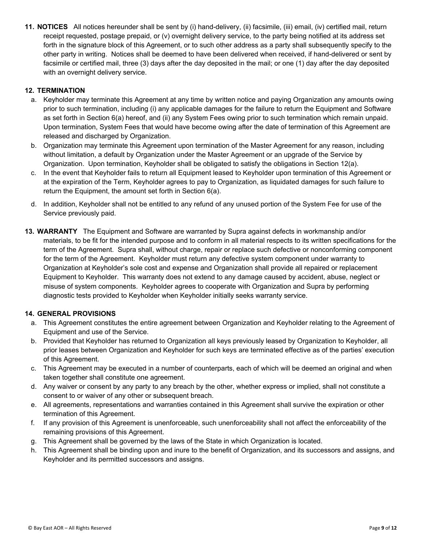**11. NOTICES** All notices hereunder shall be sent by (i) hand-delivery, (ii) facsimile, (iii) email, (iv) certified mail, return receipt requested, postage prepaid, or (v) overnight delivery service, to the party being notified at its address set forth in the signature block of this Agreement, or to such other address as a party shall subsequently specify to the other party in writing. Notices shall be deemed to have been delivered when received, if hand-delivered or sent by facsimile or certified mail, three (3) days after the day deposited in the mail; or one (1) day after the day deposited with an overnight delivery service.

#### **12. TERMINATION**

- a. Keyholder may terminate this Agreement at any time by written notice and paying Organization any amounts owing prior to such termination, including (i) any applicable damages for the failure to return the Equipment and Software as set forth in Section 6(a) hereof, and (ii) any System Fees owing prior to such termination which remain unpaid. Upon termination, System Fees that would have become owing after the date of termination of this Agreement are released and discharged by Organization.
- b. Organization may terminate this Agreement upon termination of the Master Agreement for any reason, including without limitation, a default by Organization under the Master Agreement or an upgrade of the Service by Organization. Upon termination, Keyholder shall be obligated to satisfy the obligations in Section 12(a).
- c. In the event that Keyholder fails to return all Equipment leased to Keyholder upon termination of this Agreement or at the expiration of the Term, Keyholder agrees to pay to Organization, as liquidated damages for such failure to return the Equipment, the amount set forth in Section 6(a).
- d. In addition, Keyholder shall not be entitled to any refund of any unused portion of the System Fee for use of the Service previously paid.
- **13. WARRANTY** The Equipment and Software are warranted by Supra against defects in workmanship and/or materials, to be fit for the intended purpose and to conform in all material respects to its written specifications for the term of the Agreement. Supra shall, without charge, repair or replace such defective or nonconforming component for the term of the Agreement. Keyholder must return any defective system component under warranty to Organization at Keyholder's sole cost and expense and Organization shall provide all repaired or replacement Equipment to Keyholder. This warranty does not extend to any damage caused by accident, abuse, neglect or misuse of system components. Keyholder agrees to cooperate with Organization and Supra by performing diagnostic tests provided to Keyholder when Keyholder initially seeks warranty service.

#### **14. GENERAL PROVISIONS**

- a. This Agreement constitutes the entire agreement between Organization and Keyholder relating to the Agreement of Equipment and use of the Service.
- b. Provided that Keyholder has returned to Organization all keys previously leased by Organization to Keyholder, all prior leases between Organization and Keyholder for such keys are terminated effective as of the parties' execution of this Agreement.
- c. This Agreement may be executed in a number of counterparts, each of which will be deemed an original and when taken together shall constitute one agreement.
- d. Any waiver or consent by any party to any breach by the other, whether express or implied, shall not constitute a consent to or waiver of any other or subsequent breach.
- e. All agreements, representations and warranties contained in this Agreement shall survive the expiration or other termination of this Agreement.
- f. If any provision of this Agreement is unenforceable, such unenforceability shall not affect the enforceability of the remaining provisions of this Agreement.
- g. This Agreement shall be governed by the laws of the State in which Organization is located.
- h. This Agreement shall be binding upon and inure to the benefit of Organization, and its successors and assigns, and Keyholder and its permitted successors and assigns.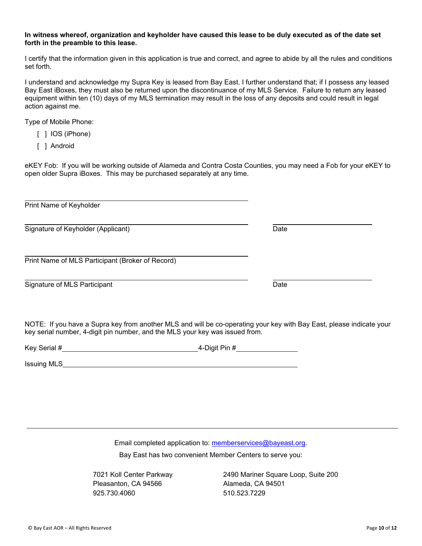#### **In witness whereof, organization and keyholder have caused this lease to be duly executed as of the date set forth in the preamble to this lease.**

I certify that the information given in this application is true and correct, and agree to abide by all the rules and conditions set forth.

I understand and acknowledge my Supra Key is leased from Bay East. I further understand that; if I possess any leased Bay East iBoxes, they must also be returned upon the discontinuance of my MLS Service. Failure to return any leased equipment within ten (10) days of my MLS termination may result in the loss of any deposits and could result in legal action against me.

Type of Mobile Phone:

- [ ] IOS (iPhone)
- [ ] Android

eKEY Fob: If you will be working outside of Alameda and Contra Costa Counties, you may need a Fob for your eKEY to open older Supra iBoxes. This may be purchased separately at any time.

| Print Name of Keyholder                                                                                                                                                                              |      |
|------------------------------------------------------------------------------------------------------------------------------------------------------------------------------------------------------|------|
| Signature of Keyholder (Applicant)                                                                                                                                                                   | Date |
| Print Name of MLS Participant (Broker of Record)                                                                                                                                                     |      |
| Signature of MLS Participant                                                                                                                                                                         | Date |
| NOTE: If you have a Supra key from another MLS and will be co-operating your key with Bay East, please indicate your<br>key serial number, 4-digit pin number, and the MLS your key was issued from. |      |

| Key Serial # | 4-Digit Pin # |
|--------------|---------------|
|              |               |

Issuing MLS

Email completed application to: memberservices@bayeast.org. Bay East has two convenient Member Centers to serve you:

Pleasanton, CA 94566 Alameda, CA 94501 925.730.4060 510.523.7229

7021 Koll Center Parkway 2490 Mariner Square Loop, Suite 200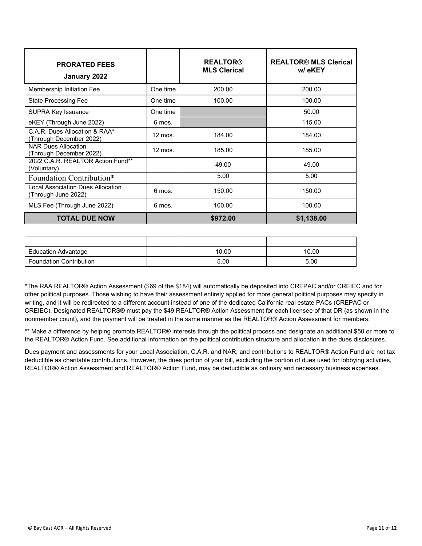| <b>PRORATED FEES</b><br>January 2022                           |                  | <b>REALTOR®</b><br><b>MLS Clerical</b> | <b>REALTOR® MLS Clerical</b><br>w/eKEY |
|----------------------------------------------------------------|------------------|----------------------------------------|----------------------------------------|
| Membership Initiation Fee                                      | One time         | 200.00                                 | 200.00                                 |
| <b>State Processing Fee</b>                                    | One time         | 100.00                                 | 100.00                                 |
| <b>SUPRA Key Issuance</b>                                      | One time         |                                        | 50.00                                  |
| eKEY (Through June 2022)                                       | 6 mos.           |                                        | 115.00                                 |
| C.A.R. Dues Allocation & RAA*<br>Through December 2022)        | $12$ mos.        | 184.00                                 | 184.00                                 |
| <b>NAR Dues Allocation</b><br>Through December 2022)           | $12 \text{ mos}$ | 185.00                                 | 185.00                                 |
| 2022 C.A.R. REALTOR Action Fund**<br>(Voluntary)               |                  | 49.00                                  | 49.00                                  |
| Foundation Contribution*                                       |                  | 5.00                                   | 5.00                                   |
| <b>Local Association Dues Allocation</b><br>Through June 2022) | 6 mos.           | 150.00                                 | 150.00                                 |
| MLS Fee (Through June 2022)                                    | 6 mos.           | 100.00                                 | 100.00                                 |
| <b>TOTAL DUE NOW</b>                                           |                  | \$972.00                               | \$1,138.00                             |
|                                                                |                  |                                        |                                        |

| Education Advantage            | 10.00 | 10.00 |
|--------------------------------|-------|-------|
| <b>Foundation Contribution</b> | 5.00  | 5.00  |

\*The RAA REALTOR® Action Assessment (\$69 of the \$184) will automatically be deposited into CREPAC and/or CREIEC and for other political purposes. Those wishing to have their assessment entirely applied for more general political purposes may specify in writing, and it will be redirected to a different account instead of one of the dedicated California real estate PACs (CREPAC or CREIEC). Designated REALTORS® must pay the \$49 REALTOR® Action Assessment for each licensee of that DR (as shown in the nonmember count), and the payment will be treated in the same manner as the REALTOR® Action Assessment for members.

\*\* Make a difference by helping promote REALTOR® interests through the political process and designate an additional \$50 or more to the REALTOR® Action Fund. See additional information on the political contribution structure and allocation in the dues disclosures.

Dues payment and assessments for your Local Association, C.A.R. and NAR, and contributions to REALTOR® Action Fund are not tax deductible as charitable contributions. However, the dues portion of your bill, excluding the portion of dues used for lobbying activities, REALTOR® Action Assessment and REALTOR® Action Fund, may be deductible as ordinary and necessary business expenses.